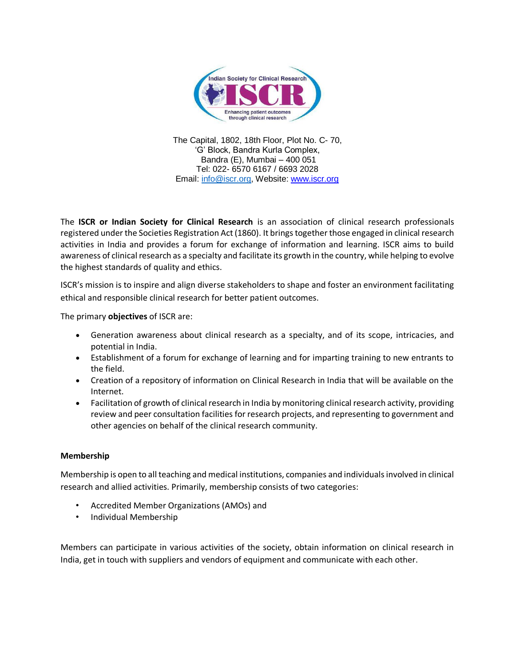

The Capital, 1802, 18th Floor, Plot No. C- 70, 'G' Block, Bandra Kurla Complex, Bandra (E), Mumbai – 400 051 Tel: 022- 6570 6167 / 6693 2028 Email: [info@iscr.org,](mailto:info@iscr.org) Website: www.iscr.org

The **ISCR or Indian Society for Clinical Research** is an association of clinical research professionals registered under the Societies Registration Act (1860). It brings together those engaged in clinical research activities in India and provides a forum for exchange of information and learning. ISCR aims to build awareness of clinical research as a specialty and facilitate its growth in the country, while helping to evolve the highest standards of quality and ethics.

ISCR's mission is to inspire and align diverse stakeholders to shape and foster an environment facilitating ethical and responsible clinical research for better patient outcomes.

The primary **objectives** of ISCR are:

- Generation awareness about clinical research as a specialty, and of its scope, intricacies, and potential in India.
- Establishment of a forum for exchange of learning and for imparting training to new entrants to the field.
- Creation of a repository of information on Clinical Research in India that will be available on the Internet.
- Facilitation of growth of clinical research in India by monitoring clinical research activity, providing review and peer consultation facilities for research projects, and representing to government and other agencies on behalf of the clinical research community.

## **Membership**

Membership is open to all teaching and medical institutions, companies and individuals involved in clinical research and allied activities. Primarily, membership consists of two categories:

- Accredited Member Organizations (AMOs) and
- Individual Membership

Members can participate in various activities of the society, obtain information on clinical research in India, get in touch with suppliers and vendors of equipment and communicate with each other.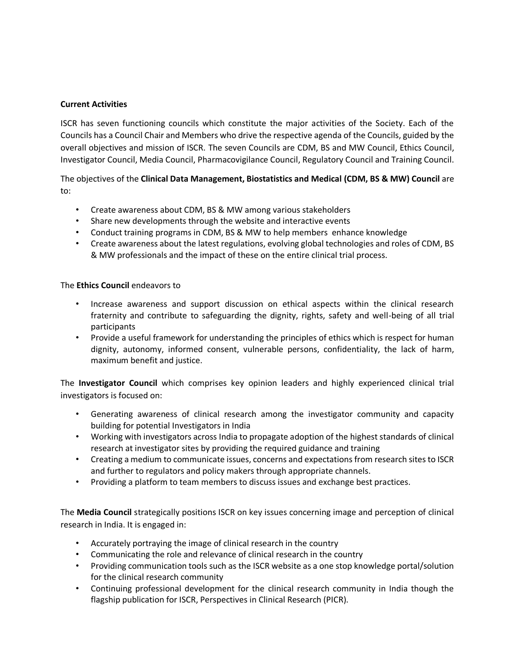## **Current Activities**

ISCR has seven functioning councils which constitute the major activities of the Society. Each of the Councils has a Council Chair and Members who drive the respective agenda of the Councils, guided by the overall objectives and mission of ISCR. The seven Councils are CDM, BS and MW Council, Ethics Council, Investigator Council, Media Council, Pharmacovigilance Council, Regulatory Council and Training Council.

The objectives of the **Clinical Data Management, Biostatistics and Medical (CDM, BS & MW) Council** are to:

- Create awareness about CDM, BS & MW among various stakeholders
- Share new developments through the website and interactive events
- Conduct training programs in CDM, BS & MW to help members enhance knowledge
- Create awareness about the latest regulations, evolving global technologies and roles of CDM, BS & MW professionals and the impact of these on the entire clinical trial process.

## The **Ethics Council** endeavors to

- Increase awareness and support discussion on ethical aspects within the clinical research fraternity and contribute to safeguarding the dignity, rights, safety and well-being of all trial participants
- Provide a useful framework for understanding the principles of ethics which is respect for human dignity, autonomy, informed consent, vulnerable persons, confidentiality, the lack of harm, maximum benefit and justice.

The **Investigator Council** which comprises key opinion leaders and highly experienced clinical trial investigators is focused on:

- Generating awareness of clinical research among the investigator community and capacity building for potential Investigators in India
- Working with investigators across India to propagate adoption of the highest standards of clinical research at investigator sites by providing the required guidance and training
- Creating a medium to communicate issues, concerns and expectations from research sites to ISCR and further to regulators and policy makers through appropriate channels.
- Providing a platform to team members to discuss issues and exchange best practices.

The **Media Council** strategically positions ISCR on key issues concerning image and perception of clinical research in India. It is engaged in:

- Accurately portraying the image of clinical research in the country
- Communicating the role and relevance of clinical research in the country
- Providing communication tools such as the ISCR website as a one stop knowledge portal/solution for the clinical research community
- Continuing professional development for the clinical research community in India though the flagship publication for ISCR, Perspectives in Clinical Research (PICR).